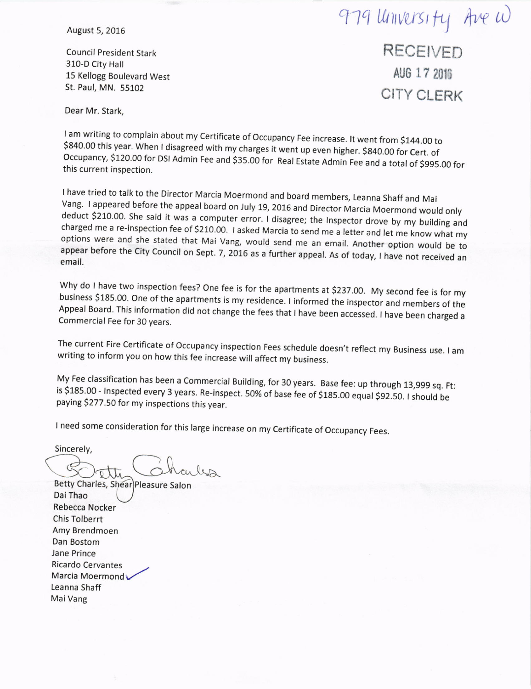# 979 University Ave w

August 5, 2016

Council President Stark 310-D City Hall 15 Kellogg Boulevard West St. Paul, MN. 55102

**RECEIVED** AUG 17 2016 CITY CLERK

Dear Mr. Stark,

0.00 this year. When I disagre<br>upancy, \$120.00 for DSI Admi Occupancy, \$120.00 for DSI Admin Fee and \$35.00 for Real Estate Admin Fee and a total of \$995.00 for this current inspection.

I have tried to talk to the Director Marcia Moermond and board members, Leanna Shaff and Mai<br>Vang. I appeared before the appeal board on July 19, 2016 and Director Marcia Moermond would only deduct \$210.00. She said it was a computer error. I disagree; the Inspector drove by my building and charged me a re-inspection fee of \$210.00. I asked Marcia to send me a letter and let me know what my options were and she stated that Mai Vang, would send me an email. Another option would be to appear before the City Council on Sept. 7, 2016 as a further appeal. As of today, I have not received an email.

Why do I have two inspection fees? One fee is for the apartments at \$237.00. My second fee is for my tion did not change the fees that I have been accessed. I have been charged business \$185.00. One of the apartments is my residence. I informed the inspector and members of the Commercial Fee for 30 years

The current Fire Certificate of Occupancy inspection Fees schedule doesn't reflect my Business use. I am writing to inform you on how this fee increase will affect my business.

My Fee classification has been a Commercial Building, for 30 years. Base fee: up through 13,999 sq. Ft:<br>is \$185.00 - Inspected every 3 years. Re-inspect. 50% of base fee of \$185.00 equal \$92.50. I should be<br>paying \$277.50

I need some consideration for this large increase on my Certificate of Occupancy Fees.

Sincerely,

Betty Charles, Shear)Pleasure Salon Dal Thao Rebecca Nocker Chis Tolberrt Amy Brendmoen Dan Bostom Jane Prince Ricardo Cervantes Marcia Moermond Leanna Shaff Mai Vang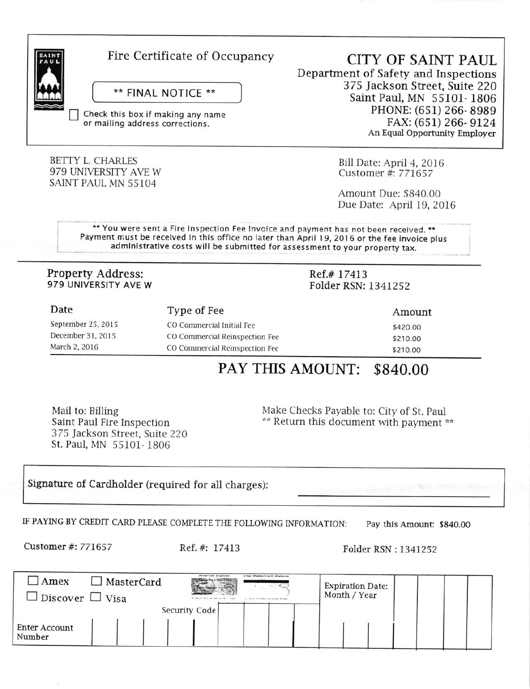

### Fire Certificate of Occupancy

### \*\* FINAL NOTICE \*\*

Check this box if making any name or mailing address corrections.

### **BETTY L. CHARLES** 979 UNIVERSITY AVE W SAINT PAUL MN 55104

**CITY OF SAINT PAUL** Department of Safety and Inspections 375 Jackson Street, Suite 220 Saint Paul, MN 55101-1806 PHONE: (651) 266-8989 FAX: (651) 266-9124 An Equal Opportunity Employer

> Bill Date: April 4, 2016 Customer #: 771657

Amount Due: \$840.00 Due Date: April 19, 2016

\*\* You were sent a Fire Inspection Fee Invoice and payment has not been received. \*\* Payment must be received in this office no later than April 19, 2016 or the fee invoice plus administrative costs will be submitted for assessment to your property tax.

### **Property Address:** 979 UNIVERSITY AVE W

### Ref.#17413 Folder RSN: 1341252

| Date               | Type of Fee                    | Amount   |  |
|--------------------|--------------------------------|----------|--|
| September 25, 2015 | CO Commercial Initial Fee      | \$420.00 |  |
| December 31, 2015  | CO Commercial Reinspection Fee | \$210.00 |  |
| March 2, 2016      | CO Commercial Reinspection Fee | \$210.00 |  |

### PAY THIS AMOUNT: \$840.00

Mail to: Billing Saint Paul Fire Inspection 375 Jackson Street, Suite 220 St. Paul, MN 55101-1806

Make Checks Payable to: City of St. Paul \*\* Return this document with payment \*\*

Signature of Cardholder (required for all charges):

IF PAYING BY CREDIT CARD PLEASE COMPLETE THE FOLLOWING INFORMATION: Pay this Amount: \$840.00

Customer #: 771657

Ref. #: 17413

Folder RSN: 1341252

| Amex                    | <b>Arrest Carl Governor</b><br>Vision Information Clean & Exceptionate<br>MasterCard<br><b>Carl Line Co. Carl Line Co.</b> | <b>Expiration Date:</b> |
|-------------------------|----------------------------------------------------------------------------------------------------------------------------|-------------------------|
| J Discover ∟ Visa       | of the of them and advanced to the state<br>at the control should be the                                                   | Month / Year            |
|                         | Security Code                                                                                                              |                         |
| Enter Account<br>Number |                                                                                                                            |                         |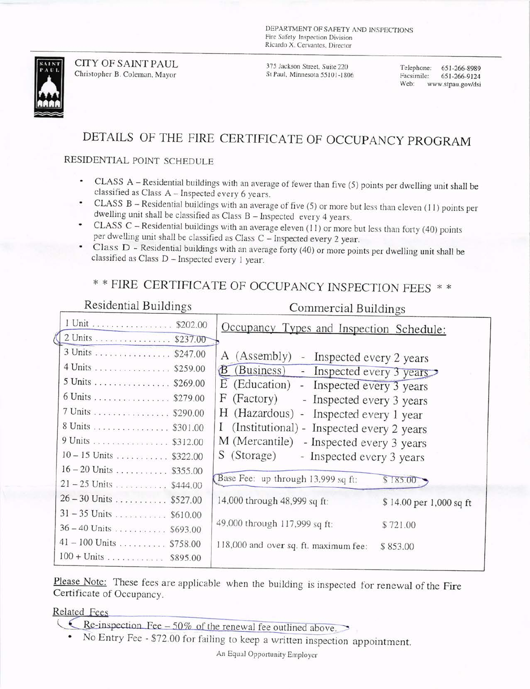DEPARTMENT OF SAFETY AND INSPECTIONS Fire Safety Inspection Division Ricardo X. Cervantes, Director



**CITY OF SAINT PAUL** Christopher B. Coleman, Mayor

375 Jackson Street, Suite 220 St Paul, Minnesota 55101-1806

Telephone: 651-266-8989 Facsimile: 651-266-9124 Web: www.stpau.gov/dsi

### DETAILS OF THE FIRE CERTIFICATE OF OCCUPANCY PROGRAM

### RESIDENTIAL POINT SCHEDULE

- CLASS A Residential buildings with an average of fewer than five (5) points per dwelling unit shall be classified as Class A - Inspected every 6 years.
- CLASS B Residential buildings with an average of five (5) or more but less than eleven (11) points per dwelling unit shall be classified as Class B - Inspected every 4 years.
- CLASS C Residential buildings with an average eleven (11) or more but less than forty (40) points per dwelling unit shall be classified as Class C - Inspected every 2 year.
- Class D Residential buildings with an average forty (40) or more points per dwelling unit shall be classified as Class D - Inspected every 1 year.

### \*\* FIRE CERTIFICATE OF OCCUPANCY INSPECTION FEES \*\*

| Residential Buildings                                                                                                | Commercial Buildings                                                                                                                                                                                                         |                                     |
|----------------------------------------------------------------------------------------------------------------------|------------------------------------------------------------------------------------------------------------------------------------------------------------------------------------------------------------------------------|-------------------------------------|
| 1 Unit \$202.00                                                                                                      | Occupancy Types and Inspection Schedule:                                                                                                                                                                                     |                                     |
| 2 Units \$237.00<br>3 Units \$247.00<br>4 Units \$259.00<br>5 Units \$269.00<br>6 Units \$279.00<br>7 Units \$290.00 | A (Assembly)<br>- Inspected every 2 years<br>B (Business) - Inspected every 3 years<br>$E$ (Education) - Inspected every 3 years<br>F<br>(Factory)<br>- Inspected every 3 years<br>Н<br>(Hazardous) - Inspected every 1 year |                                     |
| 8 Units \$301.00<br>9 Units \$312.00<br>$10 - 15$ Units  \$322.00<br>$16 - 20$ Units  \$355.00                       | (Institutional) - Inspected every 2 years<br>$\mathbf{I}$<br>M (Mercantile) - Inspected every 3 years<br>S (Storage)<br>- Inspected every 3 years<br>Base Fee: up through 13,999 sq ft:                                      |                                     |
| $21 - 25$ Units  \$444.00<br>$26 - 30$ Units \$527.00<br>$31 - 35$ Units \$610.00                                    | 14,000 through 48,999 sq ft:                                                                                                                                                                                                 | \$185.00<br>\$14.00 per 1,000 sq ft |
| $36 - 40$ Units \$693.00<br>$41 - 100$ Units  \$758.00<br>$100 + \text{Units} \dots \dots \dots \dots \$ \$895.00    | 49,000 through 117,999 sq ft:<br>118,000 and over sq. ft. maximum fee:                                                                                                                                                       | \$721.00<br>\$853.00                |

Please Note: These fees are applicable when the building is inspected for renewal of the Fire Certificate of Occupancy.

Related Fees

- $\epsilon$  Re-inspection Fee 50% of the renewal fee outlined above.
- No Entry Fee \$72.00 for failing to keep a written inspection appointment.

An Equal Opportunity Employer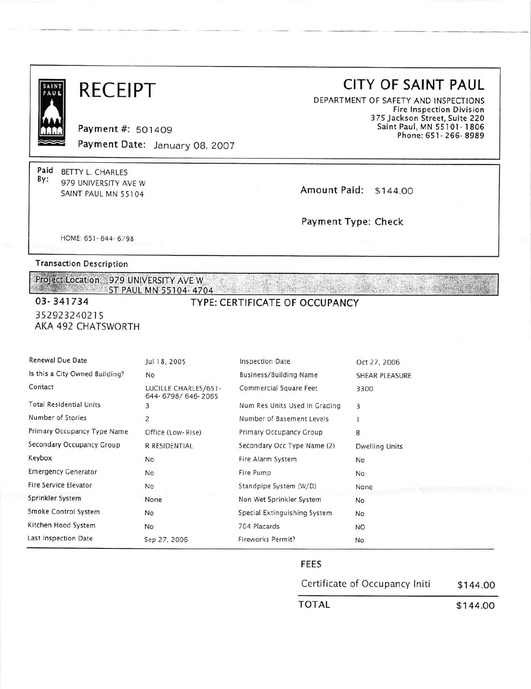| SAINT<br>PAU |  |  |
|--------------|--|--|
|              |  |  |
|              |  |  |
|              |  |  |
|              |  |  |
|              |  |  |
|              |  |  |

## **RECEIPT**

Payment #: 501409 Payment Date: January 08, 2007

Paid BETTY L. CHARLES By: 979 UNIVERSITY AVE W SAINT PAUL MN 55104

### **CITY OF SAINT PAUL**

DEPARTMENT OF SAFETY AND INSPECTIONS **Fire Inspection Division** 375 Jackson Street, Suite 220 Saint Paul, MN 55101-1806 Phone: 651-266-8989

Amount Paid: \$144.00

Payment Type: Check

HOME: 651-644-6798

**Transaction Description** 

Project Location: 979 UNIVERSITY AVE Washington ST PAUL MN 55104-4704

### 03-341734 352923240215 AKA 492 CHATSWORTH

TYPE: CERTIFICATE OF OCCUPANCY

| Renewal Due Date               | Jul 18, 2005                              | <b>Inspection Date</b>        | Oct 27, 2006          |
|--------------------------------|-------------------------------------------|-------------------------------|-----------------------|
| Is this a City Owned Building? | <b>No</b>                                 | Business/Building Name        | SHEAR PLEASURE        |
| Contact                        | LUCILLE CHARLES/651-<br>644-6798/646-2065 | Commercial Square Feet        | 3300                  |
| <b>Total Residential Units</b> | 3                                         | Num Res Units Used In Grading | 3                     |
| Number of Stories              | 2                                         | Number of Basement Levels     |                       |
| Primary Occupancy Type Name    | Office (Low-Rise)                         | Primary Occupancy Group       | B                     |
| Secondary Occupancy Group      | R RESIDENTIAL                             | Secondary Occ Type Name (2)   | <b>Dwelling Units</b> |
| Keybox                         | No                                        | Fire Alarm System             | No                    |
| <b>Emergency Generator</b>     | <b>No</b>                                 | Fire Pump                     | No                    |
| Fire Service Elevator          | N <sub>o</sub>                            | Standpipe System (W/D)        | None                  |
| Sprinkler System               | None                                      | Non Wet Sprinkler System      | No                    |
| Smoke Control System           | <b>No</b>                                 | Special Extinguishing System  | No                    |
| Kitchen Hood System            | <b>No</b>                                 | 704 Placards                  | <b>NO</b>             |
| Last Inspection Date           | Sep 27, 2006                              | Fireworks Permit?             | No                    |

#### **FEES**

| Certificate of Occupancy Initi | \$144.00 |  |  |
|--------------------------------|----------|--|--|
| TOTAL                          | \$144.00 |  |  |